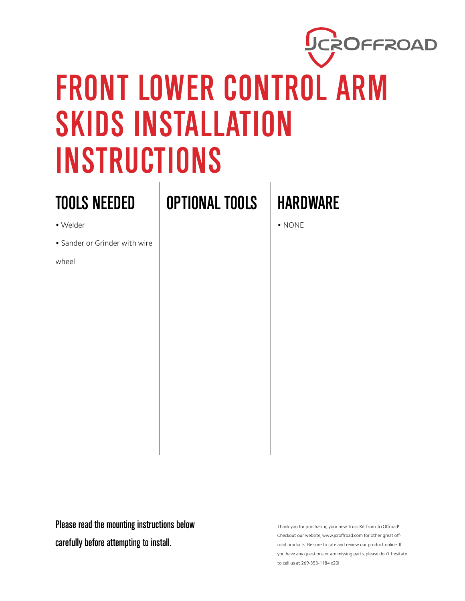

## FRONT LOWER CONTROL ARM SKIDS INSTALLATION INSTRUCTIONS

## TOOLS NEEDED

- Welder
- Sander or Grinder with wire
- wheel

OPTIONAL TOOLS | HARDWARE

• NONE

Please read the mounting instructions below carefully before attempting to install.

Thank you for purchasing your new Truss Kit from JcrOffroad! Checkout our website, www.jcroffroad.com for other great offroad products. Be sure to rate and review our product online. If you have any questions or are missing parts, please don't hesitate to call us at 269-353-1184 x20!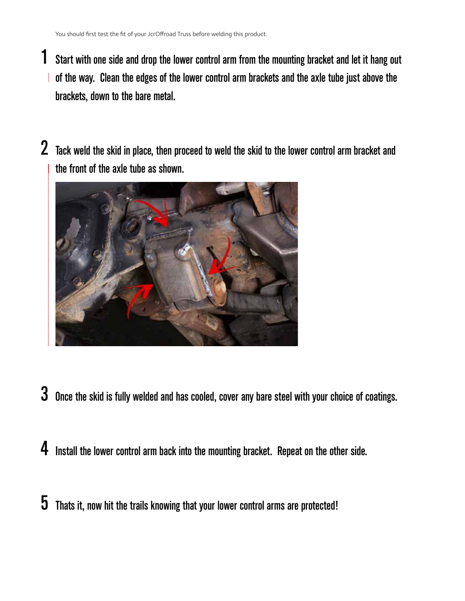- Start with one side and drop the lower control arm from the mounting bracket and let it hang out of the way. Clean the edges of the lower control arm brackets and the axle tube just above the brackets, down to the bare metal. 1
- 2 Tack weld the skid in place, then proceed to weld the skid to the lower control arm bracket and the front of the axle tube as shown.



- $\,3\,$  Once the skid is fully welded and has cooled, cover any bare steel with your choice of coatings.
- 4 Install the lower control arm back into the mounting bracket. Repeat on the other side.
- $\bf 5$  Thats it, now hit the trails knowing that your lower control arms are protected!